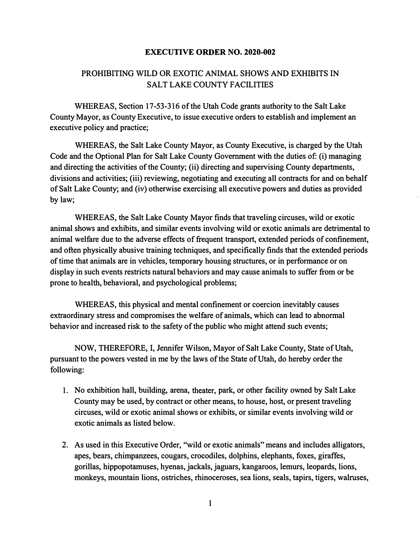## **EXECUTIVE ORDER NO. 2020-002**

## PROHIBITING WILD OR EXOTIC ANIMAL SHOWS AND EXHIBITS IN SALT LAKE COUNTY FACILITIES

WHEREAS, Section 17-53-316 of the Utah Code grants authority to the Salt Lake County Mayor, as County Executive, to issue executive orders to establish and implement an executive policy and practice;

WHEREAS, the Salt Lake County Mayor, as County Executive, is charged by the Utah Code and the Optional Plan for Salt Lake County Government with the duties of: (i) managing and directing the activities of the County; (ii) directing and supervising County departments, divisions and activities; (iii) reviewing, negotiating and executing all contracts for and on behalf of Salt Lake County; and (iv) otherwise exercising all executive powers and duties as provided by law;

WHEREAS, the Salt Lake County Mayor finds that traveling circuses, wild or exotic animal shows and exhibits, and similar events involving wild or exotic animals are detrimental to animal welfare due to the adverse effects of frequent transport, extended periods of confinement, and often physically abusive training techniques, and specifically finds that the extended periods of time that animals are in vehicles, temporary housing structures, or in performance or on display in such events restricts natural behaviors and may cause animals to suffer from or be prone to health, behavioral, and psychological problems;

WHEREAS, this physical and mental confinement or coercion inevitably causes extraordinary stress and compromises the welfare of animals, which can lead to abnormal behavior and increased risk to the safety of the public who might attend such events;

NOW, THEREFORE, I, Jennifer Wilson, Mayor of Salt Lake County, State of Utah, pursuant to the powers vested in me by the laws of the State of Utah, do hereby order the following:

- 1. No exhibition hall, building, arena, theater, park, or other facility owned by Salt Lake County may be used, by contract or other means, to house, host, or present traveling circuses, wild or exotic animal shows or exhibits, or similar events involving wild or exotic animals as listed below.
- 2. As used in this Executive Order, ''wild or exotic animals" means and includes alligators, apes, bears, chimpanzees, cougars, crocodiles, dolphins, elephants, foxes, giraffes, gorillas, hippopotamuses, hyenas, jackals, jaguars, kangaroos, lemurs, leopards, lions, monkeys, mountain lions, ostriches, rhinoceroses, sea lions, seals, tapirs, tigers, walruses,